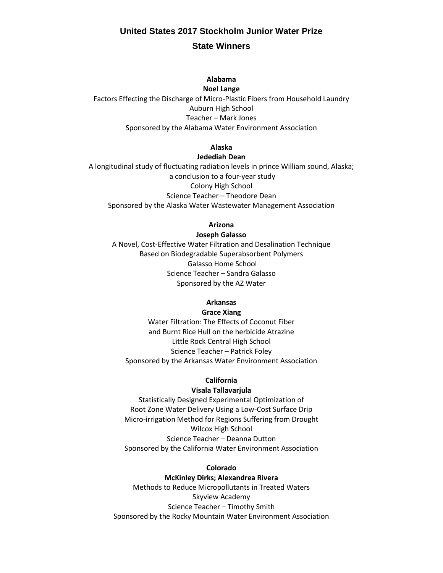# **United States 2017 Stockholm Junior Water Prize State Winners**

## **Alabama Noel Lange**

Factors Effecting the Discharge of Micro-Plastic Fibers from Household Laundry Auburn High School Teacher – Mark Jones Sponsored by the Alabama Water Environment Association

## **Alaska**

#### **Jedediah Dean**

A longitudinal study of fluctuating radiation levels in prince William sound, Alaska; a conclusion to a four-year study Colony High School Science Teacher – Theodore Dean Sponsored by the Alaska Water Wastewater Management Association

### **Arizona**

#### **Joseph Galasso**

A Novel, Cost-Effective Water Filtration and Desalination Technique Based on Biodegradable Superabsorbent Polymers Galasso Home School Science Teacher – Sandra Galasso Sponsored by the AZ Water

## **Arkansas**

## **Grace Xiang**

Water Filtration: The Effects of Coconut Fiber and Burnt Rice Hull on the herbicide Atrazine Little Rock Central High School Science Teacher – Patrick Foley Sponsored by the Arkansas Water Environment Association

## **California**

#### **Visala Tallavarjula**

Statistically Designed Experimental Optimization of Root Zone Water Delivery Using a Low-Cost Surface Drip Micro-irrigation Method for Regions Suffering from Drought Wilcox High School Science Teacher – Deanna Dutton Sponsored by the California Water Environment Association

#### **Colorado**

### **McKinley Dirks; Alexandrea Rivera**

Methods to Reduce Micropollutants in Treated Waters Skyview Academy Science Teacher – Timothy Smith Sponsored by the Rocky Mountain Water Environment Association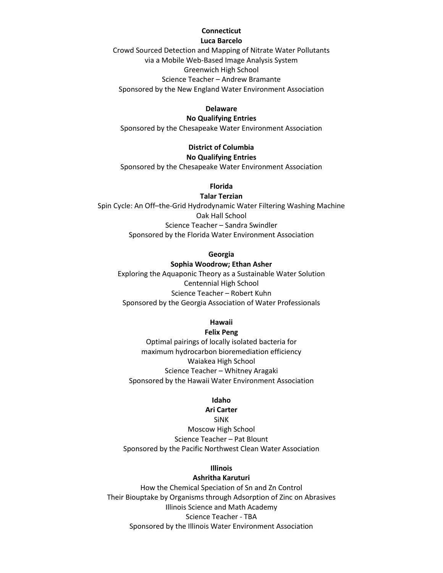# **Connecticut**

## **Luca Barcelo**

Crowd Sourced Detection and Mapping of Nitrate Water Pollutants via a Mobile Web-Based Image Analysis System Greenwich High School Science Teacher – Andrew Bramante Sponsored by the New England Water Environment Association

## **Delaware**

## **No Qualifying Entries**

Sponsored by the Chesapeake Water Environment Association

# **District of Columbia**

## **No Qualifying Entries**

Sponsored by the Chesapeake Water Environment Association

## **Florida**

## **Talar Terzian**

Spin Cycle: An Off–the-Grid Hydrodynamic Water Filtering Washing Machine Oak Hall School Science Teacher – Sandra Swindler Sponsored by the Florida Water Environment Association

## **Georgia**

## **Sophia Woodrow; Ethan Asher**

Exploring the Aquaponic Theory as a Sustainable Water Solution Centennial High School Science Teacher – Robert Kuhn Sponsored by the Georgia Association of Water Professionals

## **Hawaii**

## **Felix Peng**

Optimal pairings of locally isolated bacteria for maximum hydrocarbon bioremediation efficiency Waiakea High School Science Teacher – Whitney Aragaki Sponsored by the Hawaii Water Environment Association

## **Idaho**

## **Ari Carter**

SiNK Moscow High School Science Teacher – Pat Blount Sponsored by the Pacific Northwest Clean Water Association

## **Illinois**

## **Ashritha Karuturi**

How the Chemical Speciation of Sn and Zn Control Their Biouptake by Organisms through Adsorption of Zinc on Abrasives Illinois Science and Math Academy Science Teacher - TBA Sponsored by the Illinois Water Environment Association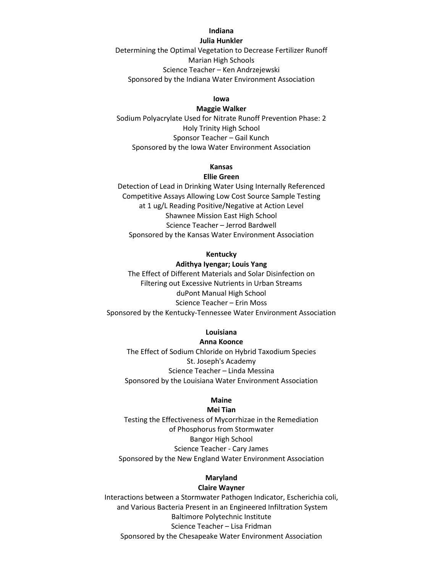## **Indiana**

## **Julia Hunkler**

Determining the Optimal Vegetation to Decrease Fertilizer Runoff Marian High Schools Science Teacher – Ken Andrzejewski Sponsored by the Indiana Water Environment Association

### **Iowa**

#### **Maggie Walker**

Sodium Polyacrylate Used for Nitrate Runoff Prevention Phase: 2 Holy Trinity High School Sponsor Teacher – Gail Kunch Sponsored by the Iowa Water Environment Association

## **Kansas**

## **Ellie Green**

Detection of Lead in Drinking Water Using Internally Referenced Competitive Assays Allowing Low Cost Source Sample Testing at 1 ug/L Reading Positive/Negative at Action Level Shawnee Mission East High School Science Teacher – Jerrod Bardwell Sponsored by the Kansas Water Environment Association

#### **Kentucky**

#### **Adithya Iyengar; Louis Yang**

The Effect of Different Materials and Solar Disinfection on Filtering out Excessive Nutrients in Urban Streams duPont Manual High School Science Teacher – Erin Moss Sponsored by the Kentucky-Tennessee Water Environment Association

## **Louisiana**

#### **Anna Koonce**

The Effect of Sodium Chloride on Hybrid Taxodium Species St. Joseph's Academy Science Teacher – Linda Messina Sponsored by the Louisiana Water Environment Association

## **Maine**

#### **Mei Tian**

Testing the Effectiveness of Mycorrhizae in the Remediation of Phosphorus from Stormwater Bangor High School Science Teacher - Cary James Sponsored by the New England Water Environment Association

## **Maryland**

#### **Claire Wayner**

Interactions between a Stormwater Pathogen Indicator, Escherichia coli, and Various Bacteria Present in an Engineered Infiltration System Baltimore Polytechnic Institute Science Teacher – Lisa Fridman Sponsored by the Chesapeake Water Environment Association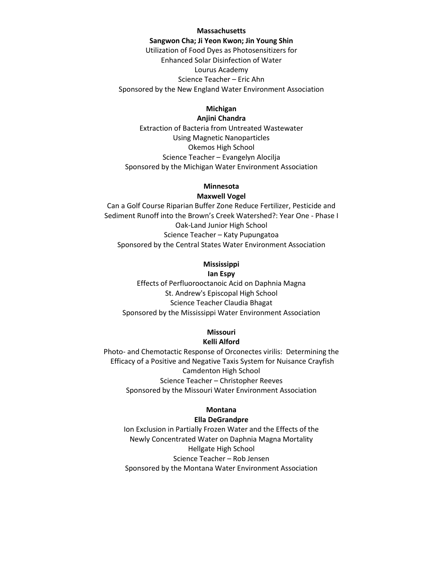#### **Massachusetts**

**Sangwon Cha; Ji Yeon Kwon; Jin Young Shin** Utilization of Food Dyes as Photosensitizers for Enhanced Solar Disinfection of Water Lourus Academy Science Teacher – Eric Ahn Sponsored by the New England Water Environment Association

## **Michigan**

### **Anjini Chandra**

Extraction of Bacteria from Untreated Wastewater Using Magnetic Nanoparticles Okemos High School Science Teacher – Evangelyn Alocilja Sponsored by the Michigan Water Environment Association

## **Minnesota**

#### **Maxwell Vogel**

Can a Golf Course Riparian Buffer Zone Reduce Fertilizer, Pesticide and Sediment Runoff into the Brown's Creek Watershed?: Year One - Phase I Oak-Land Junior High School Science Teacher – Katy Pupungatoa Sponsored by the Central States Water Environment Association

## **Mississippi Ian Espy**

Effects of Perfluorooctanoic Acid on Daphnia Magna St. Andrew's Episcopal High School Science Teacher Claudia Bhagat Sponsored by the Mississippi Water Environment Association

## **Missouri**

#### **Kelli Alford**

Photo- and Chemotactic Response of Orconectes virilis: Determining the Efficacy of a Positive and Negative Taxis System for Nuisance Crayfish Camdenton High School Science Teacher – Christopher Reeves Sponsored by the Missouri Water Environment Association

## **Montana**

## **Ella DeGrandpre**

Ion Exclusion in Partially Frozen Water and the Effects of the Newly Concentrated Water on Daphnia Magna Mortality Hellgate High School Science Teacher – Rob Jensen Sponsored by the Montana Water Environment Association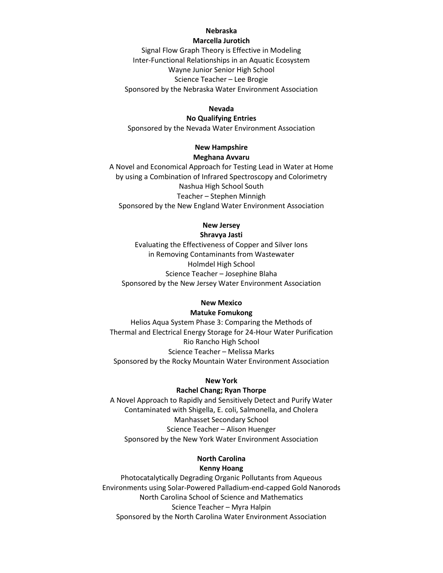## **Nebraska**

## **Marcella Jurotich**

Signal Flow Graph Theory is Effective in Modeling Inter-Functional Relationships in an Aquatic Ecosystem Wayne Junior Senior High School Science Teacher – Lee Brogie Sponsored by the Nebraska Water Environment Association

#### **Nevada**

## **No Qualifying Entries**

Sponsored by the Nevada Water Environment Association

# **New Hampshire**

# **Meghana Avvaru**

A Novel and Economical Approach for Testing Lead in Water at Home by using a Combination of Infrared Spectroscopy and Colorimetry Nashua High School South Teacher – Stephen Minnigh Sponsored by the New England Water Environment Association

## **New Jersey**

## **Shravya Jasti**

Evaluating the Effectiveness of Copper and Silver Ions in Removing Contaminants from Wastewater Holmdel High School Science Teacher – Josephine Blaha Sponsored by the New Jersey Water Environment Association

### **New Mexico**

### **Matuke Fomukong**

Helios Aqua System Phase 3: Comparing the Methods of Thermal and Electrical Energy Storage for 24-Hour Water Purification Rio Rancho High School Science Teacher – Melissa Marks Sponsored by the Rocky Mountain Water Environment Association

#### **New York**

#### **Rachel Chang; Ryan Thorpe**

A Novel Approach to Rapidly and Sensitively Detect and Purify Water Contaminated with Shigella, E. coli, Salmonella, and Cholera Manhasset Secondary School Science Teacher – Alison Huenger Sponsored by the New York Water Environment Association

## **North Carolina Kenny Hoang**

Photocatalytically Degrading Organic Pollutants from Aqueous Environments using Solar-Powered Palladium-end-capped Gold Nanorods North Carolina School of Science and Mathematics Science Teacher – Myra Halpin Sponsored by the North Carolina Water Environment Association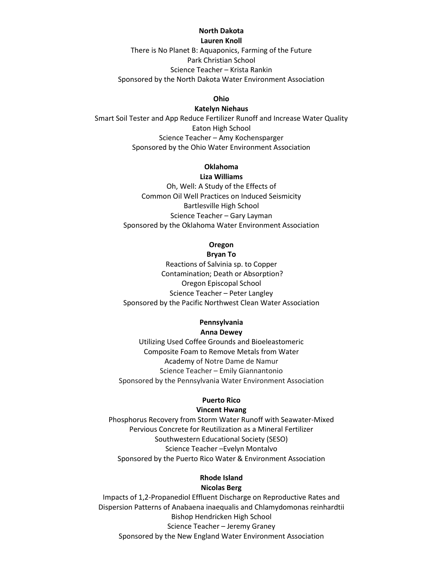## **North Dakota**

**Lauren Knoll**

There is No Planet B: Aquaponics, Farming of the Future Park Christian School Science Teacher – Krista Rankin Sponsored by the North Dakota Water Environment Association

#### **Ohio**

#### **Katelyn Niehaus**

Smart Soil Tester and App Reduce Fertilizer Runoff and Increase Water Quality Eaton High School Science Teacher – Amy Kochensparger Sponsored by the Ohio Water Environment Association

#### **Oklahoma Liza Williams**

Oh, Well: A Study of the Effects of Common Oil Well Practices on Induced Seismicity Bartlesville High School Science Teacher – Gary Layman Sponsored by the Oklahoma Water Environment Association

## **Oregon Bryan To**

Reactions of Salvinia sp. to Copper Contamination; Death or Absorption? Oregon Episcopal School Science Teacher – Peter Langley Sponsored by the Pacific Northwest Clean Water Association

## **Pennsylvania Anna Dewey**

Utilizing Used Coffee Grounds and Bioeleastomeric Composite Foam to Remove Metals from Water Academy of Notre Dame de Namur Science Teacher – Emily Giannantonio Sponsored by the Pennsylvania Water Environment Association

## **Puerto Rico**

## **Vincent Hwang**

Phosphorus Recovery from Storm Water Runoff with Seawater-Mixed Pervious Concrete for Reutilization as a Mineral Fertilizer Southwestern Educational Society (SESO) Science Teacher –Evelyn Montalvo Sponsored by the Puerto Rico Water & Environment Association

## **Rhode Island Nicolas Berg**

Impacts of 1,2-Propanediol Effluent Discharge on Reproductive Rates and Dispersion Patterns of Anabaena inaequalis and Chlamydomonas reinhardtii Bishop Hendricken High School Science Teacher – Jeremy Graney Sponsored by the New England Water Environment Association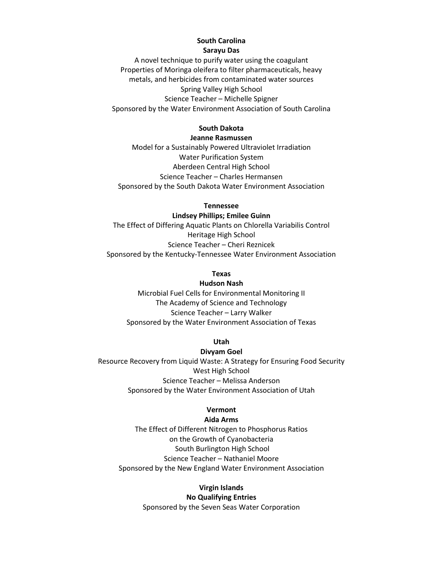## **South Carolina Sarayu Das**

A novel technique to purify water using the coagulant Properties of Moringa oleifera to filter pharmaceuticals, heavy metals, and herbicides from contaminated water sources Spring Valley High School Science Teacher – Michelle Spigner Sponsored by the Water Environment Association of South Carolina

## **South Dakota**

#### **Jeanne Rasmussen**

Model for a Sustainably Powered Ultraviolet Irradiation Water Purification System Aberdeen Central High School Science Teacher – Charles Hermansen Sponsored by the South Dakota Water Environment Association

**Tennessee**

**Lindsey Phillips; Emilee Guinn** The Effect of Differing Aquatic Plants on Chlorella Variabilis Control Heritage High School Science Teacher – Cheri Reznicek Sponsored by the Kentucky-Tennessee Water Environment Association

## **Texas**

#### **Hudson Nash**

Microbial Fuel Cells for Environmental Monitoring II The Academy of Science and Technology Science Teacher – Larry Walker Sponsored by the Water Environment Association of Texas

## **Utah**

#### **Divyam Goel**

Resource Recovery from Liquid Waste: A Strategy for Ensuring Food Security West High School Science Teacher – Melissa Anderson Sponsored by the Water Environment Association of Utah

### **Vermont**

## **Aida Arms**

The Effect of Different Nitrogen to Phosphorus Ratios on the Growth of Cyanobacteria South Burlington High School Science Teacher – Nathaniel Moore Sponsored by the New England Water Environment Association

> **Virgin Islands No Qualifying Entries** Sponsored by the Seven Seas Water Corporation